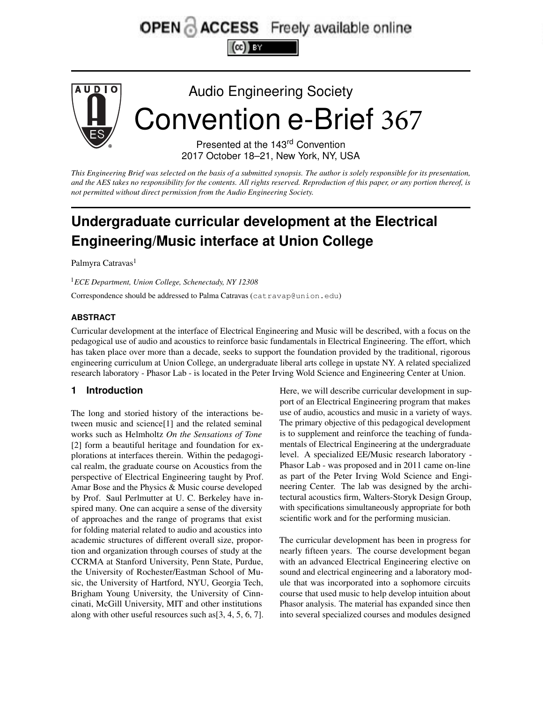# OPEN & ACCESS Freely available online



This Engineering Brief was selected on the basis of a submitted synopsis. The author is solely responsible for its presentation, and the AES takes no responsibility for the contents. All rights reserved. Reproduction of this paper, or any portion thereof, is *not permitted without direct permission from the Audio Engineering Society.*

# **Undergraduate curricular development at the Electrical Engineering/Music interface at Union College**

Palmyra Catravas<sup>1</sup>

<sup>1</sup>*ECE Department, Union College, Schenectady, NY 12308*

Correspondence should be addressed to Palma Catravas (catravap@union.edu)

#### **ABSTRACT**

Curricular development at the interface of Electrical Engineering and Music will be described, with a focus on the pedagogical use of audio and acoustics to reinforce basic fundamentals in Electrical Engineering. The effort, which has taken place over more than a decade, seeks to support the foundation provided by the traditional, rigorous engineering curriculum at Union College, an undergraduate liberal arts college in upstate NY. A related specialized research laboratory - Phasor Lab - is located in the Peter Irving Wold Science and Engineering Center at Union.

#### **1 Introduction**

The long and storied history of the interactions between music and science[1] and the related seminal works such as Helmholtz *On the Sensations of Tone* [2] form a beautiful heritage and foundation for explorations at interfaces therein. Within the pedagogical realm, the graduate course on Acoustics from the perspective of Electrical Engineering taught by Prof. Amar Bose and the Physics & Music course developed by Prof. Saul Perlmutter at U. C. Berkeley have inspired many. One can acquire a sense of the diversity of approaches and the range of programs that exist for folding material related to audio and acoustics into academic structures of different overall size, proportion and organization through courses of study at the CCRMA at Stanford University, Penn State, Purdue, the University of Rochester/Eastman School of Music, the University of Hartford, NYU, Georgia Tech, Brigham Young University, the University of Cinncinati, McGill University, MIT and other institutions along with other useful resources such as[3, 4, 5, 6, 7]. Here, we will describe curricular development in support of an Electrical Engineering program that makes use of audio, acoustics and music in a variety of ways. The primary objective of this pedagogical development is to supplement and reinforce the teaching of fundamentals of Electrical Engineering at the undergraduate level. A specialized EE/Music research laboratory - Phasor Lab - was proposed and in 2011 came on-line as part of the Peter Irving Wold Science and Engineering Center. The lab was designed by the architectural acoustics firm, Walters-Storyk Design Group, with specifications simultaneously appropriate for both scientific work and for the performing musician.

The curricular development has been in progress for nearly fifteen years. The course development began with an advanced Electrical Engineering elective on sound and electrical engineering and a laboratory module that was incorporated into a sophomore circuits course that used music to help develop intuition about Phasor analysis. The material has expanded since then into several specialized courses and modules designed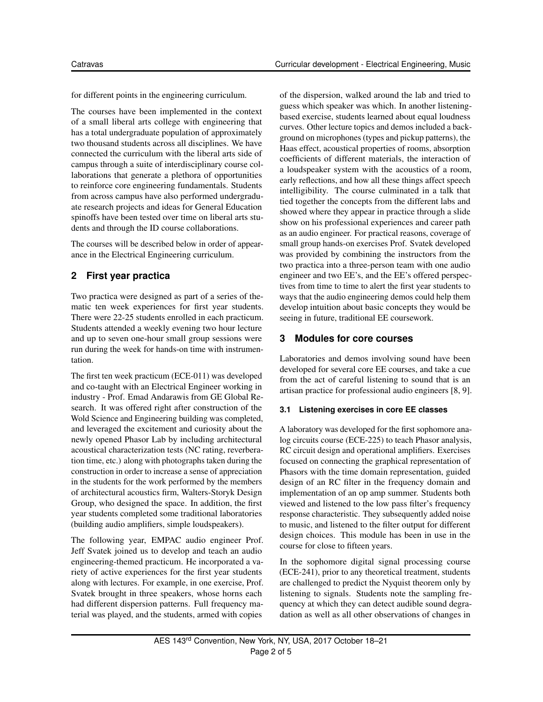for different points in the engineering curriculum.

The courses have been implemented in the context of a small liberal arts college with engineering that has a total undergraduate population of approximately two thousand students across all disciplines. We have connected the curriculum with the liberal arts side of campus through a suite of interdisciplinary course collaborations that generate a plethora of opportunities to reinforce core engineering fundamentals. Students from across campus have also performed undergraduate research projects and ideas for General Education spinoffs have been tested over time on liberal arts students and through the ID course collaborations.

The courses will be described below in order of appearance in the Electrical Engineering curriculum.

# **2 First year practica**

Two practica were designed as part of a series of thematic ten week experiences for first year students. There were 22-25 students enrolled in each practicum. Students attended a weekly evening two hour lecture and up to seven one-hour small group sessions were run during the week for hands-on time with instrumentation.

The first ten week practicum (ECE-011) was developed and co-taught with an Electrical Engineer working in industry - Prof. Emad Andarawis from GE Global Research. It was offered right after construction of the Wold Science and Engineering building was completed, and leveraged the excitement and curiosity about the newly opened Phasor Lab by including architectural acoustical characterization tests (NC rating, reverberation time, etc.) along with photographs taken during the construction in order to increase a sense of appreciation in the students for the work performed by the members of architectural acoustics firm, Walters-Storyk Design Group, who designed the space. In addition, the first year students completed some traditional laboratories (building audio amplifiers, simple loudspeakers).

The following year, EMPAC audio engineer Prof. Jeff Svatek joined us to develop and teach an audio engineering-themed practicum. He incorporated a variety of active experiences for the first year students along with lectures. For example, in one exercise, Prof. Svatek brought in three speakers, whose horns each had different dispersion patterns. Full frequency material was played, and the students, armed with copies

of the dispersion, walked around the lab and tried to guess which speaker was which. In another listeningbased exercise, students learned about equal loudness curves. Other lecture topics and demos included a background on microphones (types and pickup patterns), the Haas effect, acoustical properties of rooms, absorption coefficients of different materials, the interaction of a loudspeaker system with the acoustics of a room, early reflections, and how all these things affect speech intelligibility. The course culminated in a talk that tied together the concepts from the different labs and showed where they appear in practice through a slide show on his professional experiences and career path as an audio engineer. For practical reasons, coverage of small group hands-on exercises Prof. Svatek developed was provided by combining the instructors from the two practica into a three-person team with one audio engineer and two EE's, and the EE's offered perspectives from time to time to alert the first year students to ways that the audio engineering demos could help them develop intuition about basic concepts they would be seeing in future, traditional EE coursework.

# **3 Modules for core courses**

Laboratories and demos involving sound have been developed for several core EE courses, and take a cue from the act of careful listening to sound that is an artisan practice for professional audio engineers [8, 9].

#### **3.1 Listening exercises in core EE classes**

A laboratory was developed for the first sophomore analog circuits course (ECE-225) to teach Phasor analysis, RC circuit design and operational amplifiers. Exercises focused on connecting the graphical representation of Phasors with the time domain representation, guided design of an RC filter in the frequency domain and implementation of an op amp summer. Students both viewed and listened to the low pass filter's frequency response characteristic. They subsequently added noise to music, and listened to the filter output for different design choices. This module has been in use in the course for close to fifteen years.

In the sophomore digital signal processing course (ECE-241), prior to any theoretical treatment, students are challenged to predict the Nyquist theorem only by listening to signals. Students note the sampling frequency at which they can detect audible sound degradation as well as all other observations of changes in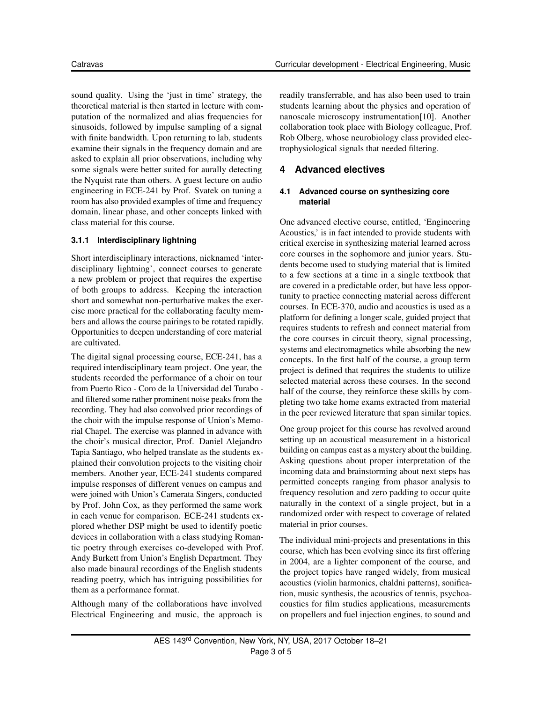sound quality. Using the 'just in time' strategy, the theoretical material is then started in lecture with computation of the normalized and alias frequencies for sinusoids, followed by impulse sampling of a signal with finite bandwidth. Upon returning to lab, students examine their signals in the frequency domain and are asked to explain all prior observations, including why some signals were better suited for aurally detecting the Nyquist rate than others. A guest lecture on audio engineering in ECE-241 by Prof. Svatek on tuning a room has also provided examples of time and frequency domain, linear phase, and other concepts linked with class material for this course.

#### **3.1.1 Interdisciplinary lightning**

Short interdisciplinary interactions, nicknamed 'interdisciplinary lightning', connect courses to generate a new problem or project that requires the expertise of both groups to address. Keeping the interaction short and somewhat non-perturbative makes the exercise more practical for the collaborating faculty members and allows the course pairings to be rotated rapidly. Opportunities to deepen understanding of core material are cultivated.

The digital signal processing course, ECE-241, has a required interdisciplinary team project. One year, the students recorded the performance of a choir on tour from Puerto Rico - Coro de la Universidad del Turabo and filtered some rather prominent noise peaks from the recording. They had also convolved prior recordings of the choir with the impulse response of Union's Memorial Chapel. The exercise was planned in advance with the choir's musical director, Prof. Daniel Alejandro Tapia Santiago, who helped translate as the students explained their convolution projects to the visiting choir members. Another year, ECE-241 students compared impulse responses of different venues on campus and were joined with Union's Camerata Singers, conducted by Prof. John Cox, as they performed the same work in each venue for comparison. ECE-241 students explored whether DSP might be used to identify poetic devices in collaboration with a class studying Romantic poetry through exercises co-developed with Prof. Andy Burkett from Union's English Department. They also made binaural recordings of the English students reading poetry, which has intriguing possibilities for them as a performance format.

Although many of the collaborations have involved Electrical Engineering and music, the approach is readily transferrable, and has also been used to train students learning about the physics and operation of nanoscale microscopy instrumentation[10]. Another collaboration took place with Biology colleague, Prof. Rob Olberg, whose neurobiology class provided electrophysiological signals that needed filtering.

# **4 Advanced electives**

#### **4.1 Advanced course on synthesizing core material**

One advanced elective course, entitled, 'Engineering Acoustics,' is in fact intended to provide students with critical exercise in synthesizing material learned across core courses in the sophomore and junior years. Students become used to studying material that is limited to a few sections at a time in a single textbook that are covered in a predictable order, but have less opportunity to practice connecting material across different courses. In ECE-370, audio and acoustics is used as a platform for defining a longer scale, guided project that requires students to refresh and connect material from the core courses in circuit theory, signal processing, systems and electromagnetics while absorbing the new concepts. In the first half of the course, a group term project is defined that requires the students to utilize selected material across these courses. In the second half of the course, they reinforce these skills by completing two take home exams extracted from material in the peer reviewed literature that span similar topics.

One group project for this course has revolved around setting up an acoustical measurement in a historical building on campus cast as a mystery about the building. Asking questions about proper interpretation of the incoming data and brainstorming about next steps has permitted concepts ranging from phasor analysis to frequency resolution and zero padding to occur quite naturally in the context of a single project, but in a randomized order with respect to coverage of related material in prior courses.

The individual mini-projects and presentations in this course, which has been evolving since its first offering in 2004, are a lighter component of the course, and the project topics have ranged widely, from musical acoustics (violin harmonics, chaldni patterns), sonification, music synthesis, the acoustics of tennis, psychoacoustics for film studies applications, measurements on propellers and fuel injection engines, to sound and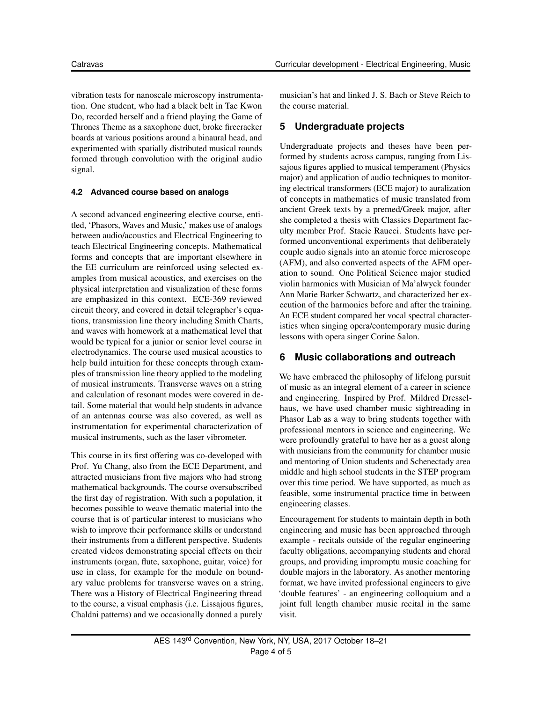vibration tests for nanoscale microscopy instrumentation. One student, who had a black belt in Tae Kwon Do, recorded herself and a friend playing the Game of Thrones Theme as a saxophone duet, broke firecracker boards at various positions around a binaural head, and experimented with spatially distributed musical rounds formed through convolution with the original audio signal.

#### **4.2 Advanced course based on analogs**

A second advanced engineering elective course, entitled, 'Phasors, Waves and Music,' makes use of analogs between audio/acoustics and Electrical Engineering to teach Electrical Engineering concepts. Mathematical forms and concepts that are important elsewhere in the EE curriculum are reinforced using selected examples from musical acoustics, and exercises on the physical interpretation and visualization of these forms are emphasized in this context. ECE-369 reviewed circuit theory, and covered in detail telegrapher's equations, transmission line theory including Smith Charts, and waves with homework at a mathematical level that would be typical for a junior or senior level course in electrodynamics. The course used musical acoustics to help build intuition for these concepts through examples of transmission line theory applied to the modeling of musical instruments. Transverse waves on a string and calculation of resonant modes were covered in detail. Some material that would help students in advance of an antennas course was also covered, as well as instrumentation for experimental characterization of musical instruments, such as the laser vibrometer.

This course in its first offering was co-developed with Prof. Yu Chang, also from the ECE Department, and attracted musicians from five majors who had strong mathematical backgrounds. The course oversubscribed the first day of registration. With such a population, it becomes possible to weave thematic material into the course that is of particular interest to musicians who wish to improve their performance skills or understand their instruments from a different perspective. Students created videos demonstrating special effects on their instruments (organ, flute, saxophone, guitar, voice) for use in class, for example for the module on boundary value problems for transverse waves on a string. There was a History of Electrical Engineering thread to the course, a visual emphasis (i.e. Lissajous figures, Chaldni patterns) and we occasionally donned a purely

musician's hat and linked J. S. Bach or Steve Reich to the course material.

# **5 Undergraduate projects**

Undergraduate projects and theses have been performed by students across campus, ranging from Lissajous figures applied to musical temperament (Physics major) and application of audio techniques to monitoring electrical transformers (ECE major) to auralization of concepts in mathematics of music translated from ancient Greek texts by a premed/Greek major, after she completed a thesis with Classics Department faculty member Prof. Stacie Raucci. Students have performed unconventional experiments that deliberately couple audio signals into an atomic force microscope (AFM), and also converted aspects of the AFM operation to sound. One Political Science major studied violin harmonics with Musician of Ma'alwyck founder Ann Marie Barker Schwartz, and characterized her execution of the harmonics before and after the training. An ECE student compared her vocal spectral characteristics when singing opera/contemporary music during lessons with opera singer Corine Salon.

# **6 Music collaborations and outreach**

We have embraced the philosophy of lifelong pursuit of music as an integral element of a career in science and engineering. Inspired by Prof. Mildred Dresselhaus, we have used chamber music sightreading in Phasor Lab as a way to bring students together with professional mentors in science and engineering. We were profoundly grateful to have her as a guest along with musicians from the community for chamber music and mentoring of Union students and Schenectady area middle and high school students in the STEP program over this time period. We have supported, as much as feasible, some instrumental practice time in between engineering classes.

Encouragement for students to maintain depth in both engineering and music has been approached through example - recitals outside of the regular engineering faculty obligations, accompanying students and choral groups, and providing impromptu music coaching for double majors in the laboratory. As another mentoring format, we have invited professional engineers to give 'double features' - an engineering colloquium and a joint full length chamber music recital in the same visit.